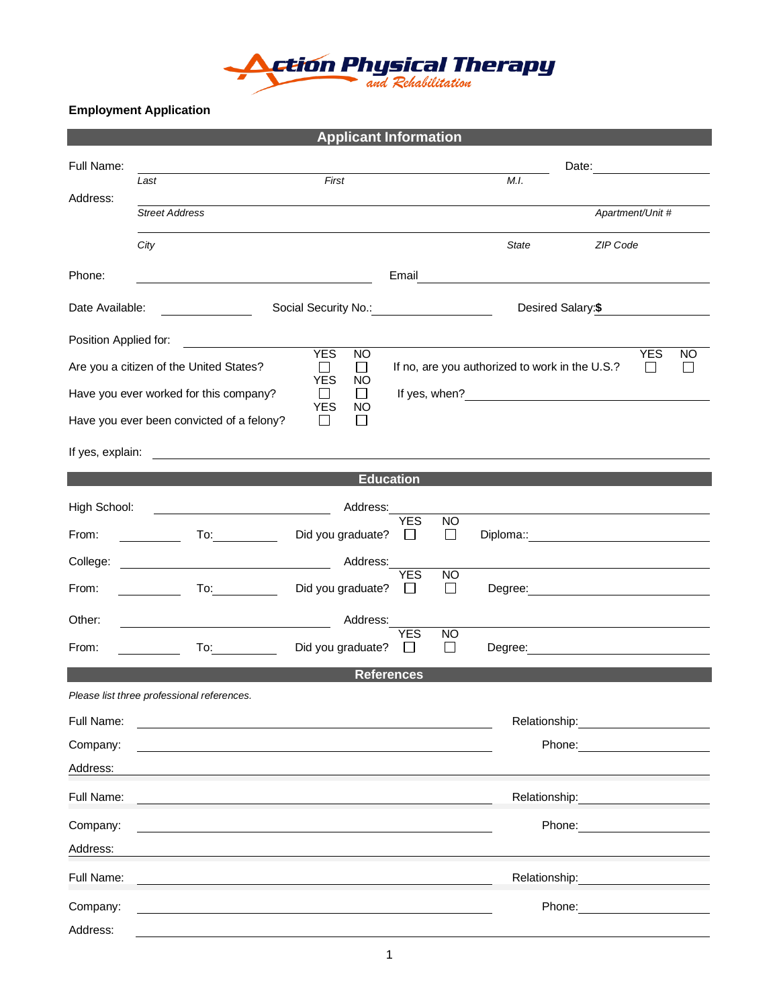

## **Employment Application**

|                                                                                                                                                                                            |                                                                                                                                                                                                                                                               | <b>Applicant Information</b> |                                     |                                                                                                                                                                                                                               |                                                                                                                                                                                                                                      |  |  |  |  |
|--------------------------------------------------------------------------------------------------------------------------------------------------------------------------------------------|---------------------------------------------------------------------------------------------------------------------------------------------------------------------------------------------------------------------------------------------------------------|------------------------------|-------------------------------------|-------------------------------------------------------------------------------------------------------------------------------------------------------------------------------------------------------------------------------|--------------------------------------------------------------------------------------------------------------------------------------------------------------------------------------------------------------------------------------|--|--|--|--|
| Full Name:                                                                                                                                                                                 |                                                                                                                                                                                                                                                               |                              |                                     | Date: and the state of the state of the state of the state of the state of the state of the state of the state of the state of the state of the state of the state of the state of the state of the state of the state of the |                                                                                                                                                                                                                                      |  |  |  |  |
| Address:                                                                                                                                                                                   | Last                                                                                                                                                                                                                                                          | First                        |                                     | M.I.                                                                                                                                                                                                                          |                                                                                                                                                                                                                                      |  |  |  |  |
|                                                                                                                                                                                            | <b>Street Address</b>                                                                                                                                                                                                                                         |                              |                                     |                                                                                                                                                                                                                               | Apartment/Unit #                                                                                                                                                                                                                     |  |  |  |  |
|                                                                                                                                                                                            | City                                                                                                                                                                                                                                                          |                              |                                     | <b>State</b>                                                                                                                                                                                                                  | ZIP Code                                                                                                                                                                                                                             |  |  |  |  |
| Phone:                                                                                                                                                                                     |                                                                                                                                                                                                                                                               |                              | Email                               | <u> 1980 - Jan Samuel Barbara, martin d</u>                                                                                                                                                                                   |                                                                                                                                                                                                                                      |  |  |  |  |
| Date Available:                                                                                                                                                                            |                                                                                                                                                                                                                                                               | Social Security No.:         |                                     | Desired Salary:\$                                                                                                                                                                                                             |                                                                                                                                                                                                                                      |  |  |  |  |
| Position Applied for:                                                                                                                                                                      |                                                                                                                                                                                                                                                               |                              |                                     |                                                                                                                                                                                                                               | <b>NO</b>                                                                                                                                                                                                                            |  |  |  |  |
| <b>YES</b><br><b>YES</b><br><b>NO</b><br>Are you a citizen of the United States?<br>$\Box$<br>$\Box$<br>If no, are you authorized to work in the U.S.?<br>$\mathbf{I}$<br><b>YES</b><br>NO |                                                                                                                                                                                                                                                               |                              |                                     |                                                                                                                                                                                                                               |                                                                                                                                                                                                                                      |  |  |  |  |
| Have you ever worked for this company?<br>$\Box$<br>$\Box$<br><b>YES</b><br>NO.                                                                                                            |                                                                                                                                                                                                                                                               |                              |                                     |                                                                                                                                                                                                                               |                                                                                                                                                                                                                                      |  |  |  |  |
| Have you ever been convicted of a felony?<br>$\Box$<br>$\mathsf{L}$                                                                                                                        |                                                                                                                                                                                                                                                               |                              |                                     |                                                                                                                                                                                                                               |                                                                                                                                                                                                                                      |  |  |  |  |
| If yes, explain:                                                                                                                                                                           |                                                                                                                                                                                                                                                               |                              |                                     |                                                                                                                                                                                                                               |                                                                                                                                                                                                                                      |  |  |  |  |
| <b>Education</b>                                                                                                                                                                           |                                                                                                                                                                                                                                                               |                              |                                     |                                                                                                                                                                                                                               |                                                                                                                                                                                                                                      |  |  |  |  |
| High School:                                                                                                                                                                               |                                                                                                                                                                                                                                                               | Address:                     | <b>YES</b>                          |                                                                                                                                                                                                                               |                                                                                                                                                                                                                                      |  |  |  |  |
| From:                                                                                                                                                                                      | $\mathsf{To:}\_\_\_\_\_\_\_\_\_\$                                                                                                                                                                                                                             | Did you graduate?            | <b>NO</b><br>$\Box$<br>$\mathbf{1}$ |                                                                                                                                                                                                                               |                                                                                                                                                                                                                                      |  |  |  |  |
| College:                                                                                                                                                                                   | <u> 1980 - Jan Samuel Barbara, politik eta politik eta politik eta politik eta politik eta politik eta politik e</u>                                                                                                                                          | Address:                     | <b>YES</b>                          |                                                                                                                                                                                                                               |                                                                                                                                                                                                                                      |  |  |  |  |
| From:                                                                                                                                                                                      | <u>and the state</u>                                                                                                                                                                                                                                          | Did you graduate?            | <b>NO</b><br>$\mathsf{L}$           |                                                                                                                                                                                                                               |                                                                                                                                                                                                                                      |  |  |  |  |
| Other:                                                                                                                                                                                     |                                                                                                                                                                                                                                                               | Address:                     | <b>YES</b><br><b>NO</b>             |                                                                                                                                                                                                                               |                                                                                                                                                                                                                                      |  |  |  |  |
| From:                                                                                                                                                                                      | To: the contract of the contract of the contract of the contract of the contract of the contract of the contract of the contract of the contract of the contract of the contract of the contract of the contract of the contra<br>$\mathcal{L} = \frac{1}{2}$ | Did you graduate?            | $\Box$                              |                                                                                                                                                                                                                               | Degree: <u>contract and the contract of the contract of the contract of the contract of the contract of the contract of the contract of the contract of the contract of the contract of the contract of the contract of the cont</u> |  |  |  |  |
|                                                                                                                                                                                            |                                                                                                                                                                                                                                                               | <b>References</b>            |                                     |                                                                                                                                                                                                                               |                                                                                                                                                                                                                                      |  |  |  |  |
|                                                                                                                                                                                            | Please list three professional references.                                                                                                                                                                                                                    |                              |                                     |                                                                                                                                                                                                                               |                                                                                                                                                                                                                                      |  |  |  |  |
| Full Name:                                                                                                                                                                                 |                                                                                                                                                                                                                                                               |                              |                                     | Relationship:                                                                                                                                                                                                                 |                                                                                                                                                                                                                                      |  |  |  |  |
| Company:                                                                                                                                                                                   |                                                                                                                                                                                                                                                               |                              |                                     |                                                                                                                                                                                                                               | Phone:                                                                                                                                                                                                                               |  |  |  |  |
| Address:                                                                                                                                                                                   |                                                                                                                                                                                                                                                               |                              |                                     |                                                                                                                                                                                                                               |                                                                                                                                                                                                                                      |  |  |  |  |
| Full Name:                                                                                                                                                                                 |                                                                                                                                                                                                                                                               |                              |                                     | Relationship:                                                                                                                                                                                                                 |                                                                                                                                                                                                                                      |  |  |  |  |
| Company:                                                                                                                                                                                   |                                                                                                                                                                                                                                                               |                              |                                     |                                                                                                                                                                                                                               | Phone:                                                                                                                                                                                                                               |  |  |  |  |
| Address:                                                                                                                                                                                   |                                                                                                                                                                                                                                                               |                              |                                     |                                                                                                                                                                                                                               |                                                                                                                                                                                                                                      |  |  |  |  |
| Full Name:                                                                                                                                                                                 |                                                                                                                                                                                                                                                               |                              |                                     | Relationship:                                                                                                                                                                                                                 |                                                                                                                                                                                                                                      |  |  |  |  |
| Company:                                                                                                                                                                                   |                                                                                                                                                                                                                                                               |                              |                                     |                                                                                                                                                                                                                               | Phone:                                                                                                                                                                                                                               |  |  |  |  |
| Address:                                                                                                                                                                                   |                                                                                                                                                                                                                                                               |                              |                                     |                                                                                                                                                                                                                               |                                                                                                                                                                                                                                      |  |  |  |  |